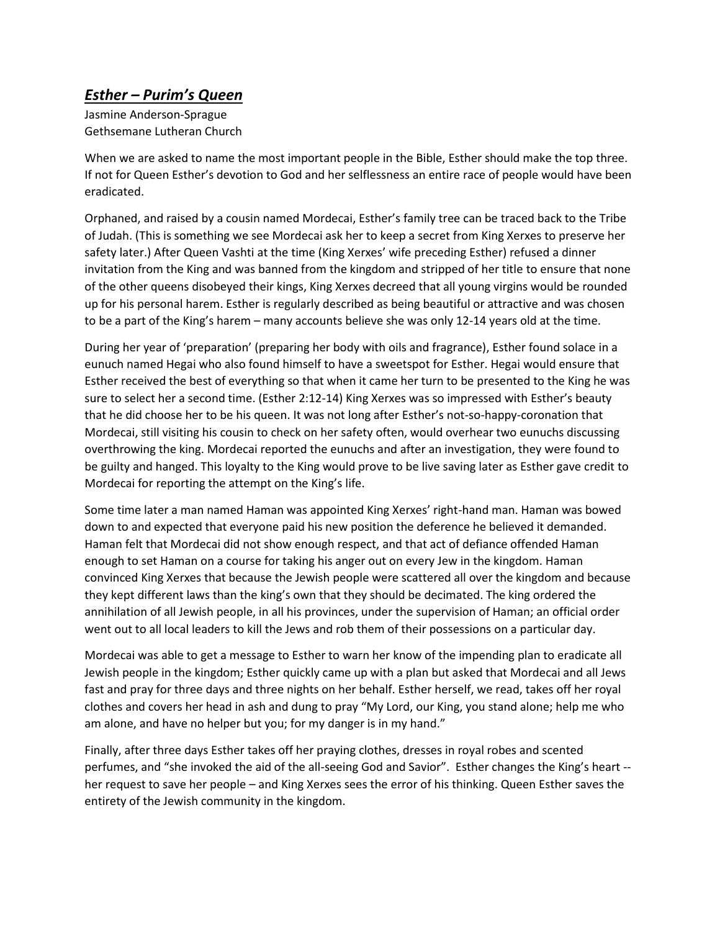## *Esther – Purim's Queen*

Jasmine Anderson-Sprague Gethsemane Lutheran Church

When we are asked to name the most important people in the Bible, Esther should make the top three. If not for Queen Esther's devotion to God and her selflessness an entire race of people would have been eradicated.

Orphaned, and raised by a cousin named Mordecai, Esther's family tree can be traced back to the Tribe of Judah. (This is something we see Mordecai ask her to keep a secret from King Xerxes to preserve her safety later.) After Queen Vashti at the time (King Xerxes' wife preceding Esther) refused a dinner invitation from the King and was banned from the kingdom and stripped of her title to ensure that none of the other queens disobeyed their kings, King Xerxes decreed that all young virgins would be rounded up for his personal harem. Esther is regularly described as being beautiful or attractive and was chosen to be a part of the King's harem – many accounts believe she was only 12-14 years old at the time.

During her year of 'preparation' (preparing her body with oils and fragrance), Esther found solace in a eunuch named Hegai who also found himself to have a sweetspot for Esther. Hegai would ensure that Esther received the best of everything so that when it came her turn to be presented to the King he was sure to select her a second time. (Esther 2:12-14) King Xerxes was so impressed with Esther's beauty that he did choose her to be his queen. It was not long after Esther's not-so-happy-coronation that Mordecai, still visiting his cousin to check on her safety often, would overhear two eunuchs discussing overthrowing the king. Mordecai reported the eunuchs and after an investigation, they were found to be guilty and hanged. This loyalty to the King would prove to be live saving later as Esther gave credit to Mordecai for reporting the attempt on the King's life.

Some time later a man named Haman was appointed King Xerxes' right-hand man. Haman was bowed down to and expected that everyone paid his new position the deference he believed it demanded. Haman felt that Mordecai did not show enough respect, and that act of defiance offended Haman enough to set Haman on a course for taking his anger out on every Jew in the kingdom. Haman convinced King Xerxes that because the Jewish people were scattered all over the kingdom and because they kept different laws than the king's own that they should be decimated. The king ordered the annihilation of all Jewish people, in all his provinces, under the supervision of Haman; an official order went out to all local leaders to kill the Jews and rob them of their possessions on a particular day.

Mordecai was able to get a message to Esther to warn her know of the impending plan to eradicate all Jewish people in the kingdom; Esther quickly came up with a plan but asked that Mordecai and all Jews fast and pray for three days and three nights on her behalf. Esther herself, we read, takes off her royal clothes and covers her head in ash and dung to pray "My Lord, our King, you stand alone; help me who am alone, and have no helper but you; for my danger is in my hand."

Finally, after three days Esther takes off her praying clothes, dresses in royal robes and scented perfumes, and "she invoked the aid of the all-seeing God and Savior". Esther changes the King's heart - her request to save her people – and King Xerxes sees the error of his thinking. Queen Esther saves the entirety of the Jewish community in the kingdom.